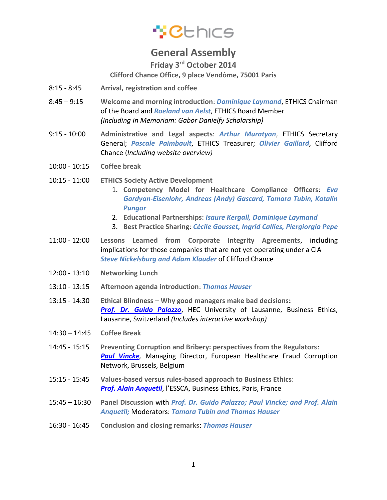## \*Cthics

## **General Assembly**

**Friday 3rd October 2014**

**Clifford Chance Office, 9 place Vendôme, 75001 Paris**

- 8:15 8:45 **Arrival, registration and coffee**
- 8:45 9:15 **Welcome and morning introduction**: *Dominique Laymand*, ETHICS Chairman of the Board and *Roeland van Aelst*, ETHICS Board Member *(Including In Memoriam: Gabor Danielfy Scholarship)*
- 9:15 10:00 **Administrative and Legal aspects**: *Arthur Muratyan*, ETHICS Secretary General; *Pascale Paimbault*, ETHICS Treasurer; *Olivier Gaillard*, Clifford Chance (*Including website overview)*
- 10:00 10:15 **Coffee break**
- 10:15 11:00 **ETHICS Society Active Development**
	- 1. **Competency Model for Healthcare Compliance Officers**: *Eva Gardyan-Eisenlohr, Andreas (Andy) Gascard, Tamara Tubin, Katalin Pungor*
	- 2. **Educational Partnerships**: *Isaure Kergall, Dominique Laymand*
	- 3. **Best Practice Sharing**: *Cécile Gousset, Ingrid Callies, Piergiorgio Pepe*
- 11:00 12:00 **Lessons Learned from Corporate Integrity Agreements**, including implications for those companies that are not yet operating under a CIA *Steve Nickelsburg and Adam Klauder* of Clifford Chance
- 12:00 13:10 **Networking Lunch**
- 13:10 13:15 **Afternoon agenda introduction**: *Thomas Hauser*
- 13:15 14:30 **Ethical Blindness – Why good managers make bad decisions:**  *[Prof. Dr. Guido Palazzo](http://www.hec.unil.ch/people/gpalazzo)*, HEC University of Lausanne, Business Ethics, Lausanne, Switzerland *(Includes interactive workshop)*
- 14:30 14:45 **Coffee Break**
- 14:45 15:15 **Preventing Corruption and Bribery: perspectives from the Regulators**: **[Paul Vincke](http://www.ehfcn.org/who-we-are/organisation/89-about-ehfcn/ehfcn-organisation/executive-committee)**, Managing Director, European Healthcare Fraud Corruption Network, Brussels, Belgium
- 15:15 15:45 **Values-based versus rules-based approach to Business Ethics**: *[Prof. Alain Anquetil](http://cerses.shs.univ-paris5.fr/spip.php?article102)*, l'ESSCA, Business Ethics, Paris, France
- 15:45 16:30 **Panel Discussion** with *Prof. Dr. Guido Palazzo; Paul Vincke; and Prof. Alain Anquetil;* Moderators: *Tamara Tubin and Thomas Hauser*
- 16:30 16:45 **Conclusion and closing remarks**: *Thomas Hauser*